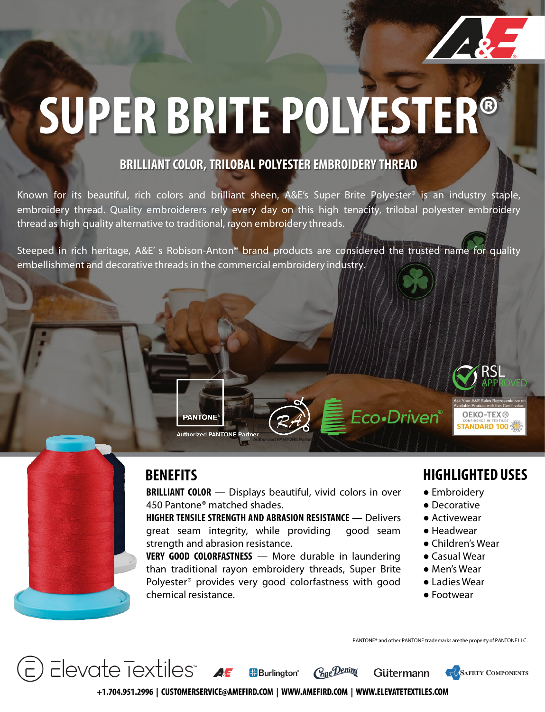

# **SUPER BRITE POLYESTER®**

### **BRILLIANT COLOR, TRILOBAL POLYESTER EMBROIDERY THREAD**

Known for its beautiful, rich colors and brilliant sheen, A&E's Super Brite Polyester® is an industry staple, embroidery thread. Quality embroiderers rely every day on this high tenacity, trilobal polyester embroidery thread as high quality alternative to traditional, rayon embroidery threads.

Steeped in rich heritage, A&E' s Robison-Anton® brand products are considered the trusted name for quality embellishment and decorative threads in the commercial embroidery industry.

 $\overline{\phantom{a}}$  Elevate Textiles"  $\overline{\phantom{a}}$ 

**PANTONE** 

**Authorized PANTONE Partner** 

**BRILLIANT COLOR** ― Displays beautiful, vivid colors in over 450 Pantone® matched shades.

**HIGHER TENSILE STRENGTH AND ABRASION RESISTANCE** ― Delivers great seam integrity, while providing good seam strength and abrasion resistance.

**VERY GOOD COLORFASTNESS** ― More durable in laundering than traditional rayon embroidery threads, Super Brite Polyester® provides very good colorfastness with good chemical resistance.

### **BENEFITS HIGHLIGHTED USES**

**OEKO-TEX®** 

**TANDARD 100** 

● Embroidery

Eco•Driven®

- Decorative
- Activewear
- Headwear
- Children's Wear
- Casual Wear
- Men's Wear
- Ladies Wear
- Footwear

PANTONE® and other PANTONE trademarks are the property of PANTONE LLC.

Gütermann



+1.704.951.2996 | CUSTOMERSERVICE@AMEFIRD.COM | WWW.AMEFIRD.COM | WWW.ELEVATETEXTILES.COM

**H**Burlinaton<sup>®</sup>

Cone Denim